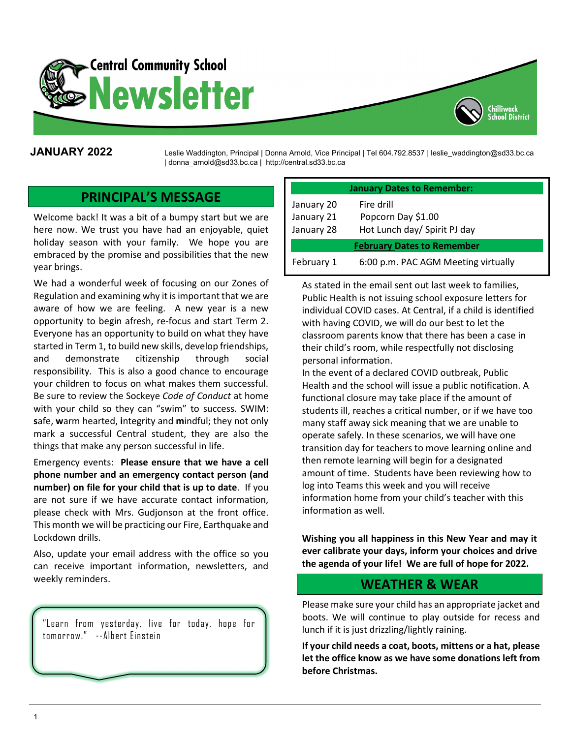

JANUARY 2022 Leslie Waddington, Principal | Donna Arnold, Vice Principal | Tel 604.792.8537 | leslie\_waddington@sd33.bc.ca | donna\_arnold@sd33.bc.ca | http://central.sd33.bc.ca

# **PRINCIPAL'S MESSAGE**

Welcome back! It was a bit of a bumpy start but we are here now. We trust you have had an enjoyable, quiet holiday season with your family. We hope you are embraced by the promise and possibilities that the new year brings.

We had a wonderful week of focusing on our Zones of Regulation and examining why it is important that we are aware of how we are feeling. A new year is a new opportunity to begin afresh, re-focus and start Term 2. Everyone has an opportunity to build on what they have started in Term 1, to build new skills, develop friendships, and demonstrate citizenship through social responsibility. This is also a good chance to encourage your children to focus on what makes them successful. Be sure to review the Sockeye *Code of Conduct* at home with your child so they can "swim" to success. SWIM: **s**afe, **w**arm hearted, **i**ntegrity and **m**indful; they not only mark a successful Central student, they are also the things that make any person successful in life.

Emergency events: **Please ensure that we have a cell phone number and an emergency contact person (and number) on file for your child that is up to date**. If you are not sure if we have accurate contact information, please check with Mrs. Gudjonson at the front office. This month we will be practicing our Fire, Earthquake and Lockdown drills.

Also, update your email address with the office so you can receive important information, newsletters, and weekly reminders.

"Learn from yesterday, live for today, hope for tomorrow." --Albert Einstein

| <b>January Dates to Remember:</b>      |                                                                  |
|----------------------------------------|------------------------------------------------------------------|
| January 20<br>January 21<br>January 28 | Fire drill<br>Popcorn Day \$1.00<br>Hot Lunch day/ Spirit PJ day |
| <b>February Dates to Remember</b>      |                                                                  |
| February 1                             | 6:00 p.m. PAC AGM Meeting virtually                              |

Chilliwack **School District** 

As stated in the email sent out last week to families, Public Health is not issuing school exposure letters for individual COVID cases. At Central, if a child is identified with having COVID, we will do our best to let the classroom parents know that there has been a case in their child's room, while respectfully not disclosing personal information.

In the event of a declared COVID outbreak, Public Health and the school will issue a public notification. A functional closure may take place if the amount of students ill, reaches a critical number, or if we have too many staff away sick meaning that we are unable to operate safely. In these scenarios, we will have one transition day for teachers to move learning online and then remote learning will begin for a designated amount of time. Students have been reviewing how to log into Teams this week and you will receive information home from your child's teacher with this information as well.

**Wishing you all happiness in this New Year and may it ever calibrate your days, inform your choices and drive the agenda of your life! We are full of hope for 2022.**

#### **WEATHER & WEAR**

Please make sure your child has an appropriate jacket and boots. We will continue to play outside for recess and lunch if it is just drizzling/lightly raining.

**If your child needs a coat, boots, mittens or a hat, please let the office know as we have some donations left from before Christmas.**